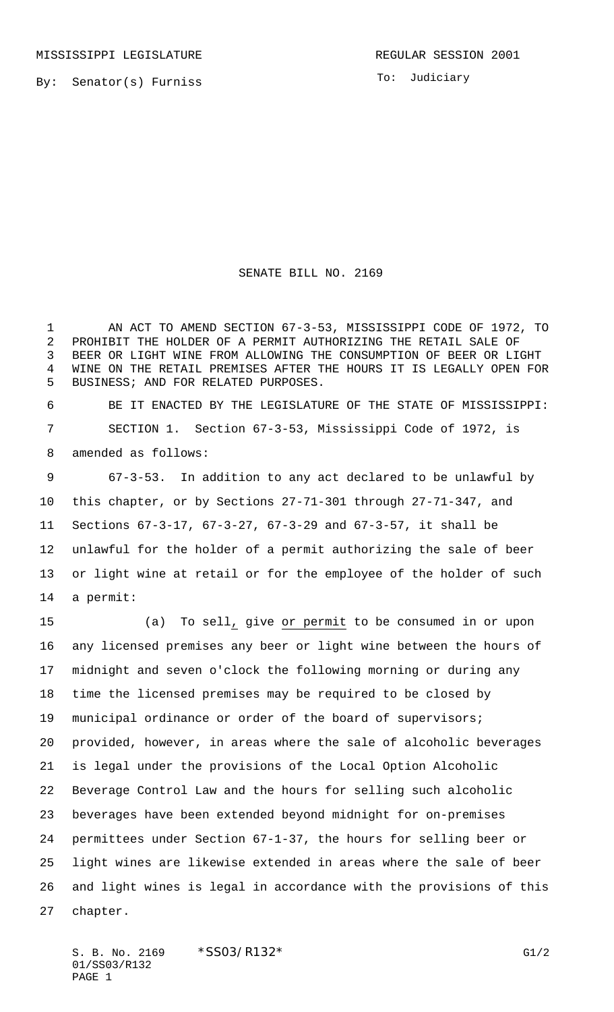By: Senator(s) Furniss

To: Judiciary

## SENATE BILL NO. 2169

 AN ACT TO AMEND SECTION 67-3-53, MISSISSIPPI CODE OF 1972, TO PROHIBIT THE HOLDER OF A PERMIT AUTHORIZING THE RETAIL SALE OF BEER OR LIGHT WINE FROM ALLOWING THE CONSUMPTION OF BEER OR LIGHT WINE ON THE RETAIL PREMISES AFTER THE HOURS IT IS LEGALLY OPEN FOR BUSINESS; AND FOR RELATED PURPOSES.

 BE IT ENACTED BY THE LEGISLATURE OF THE STATE OF MISSISSIPPI: SECTION 1. Section 67-3-53, Mississippi Code of 1972, is amended as follows:

 67-3-53. In addition to any act declared to be unlawful by this chapter, or by Sections 27-71-301 through 27-71-347, and Sections 67-3-17, 67-3-27, 67-3-29 and 67-3-57, it shall be unlawful for the holder of a permit authorizing the sale of beer or light wine at retail or for the employee of the holder of such a permit:

 (a) To sell, give or permit to be consumed in or upon any licensed premises any beer or light wine between the hours of midnight and seven o'clock the following morning or during any time the licensed premises may be required to be closed by municipal ordinance or order of the board of supervisors; provided, however, in areas where the sale of alcoholic beverages is legal under the provisions of the Local Option Alcoholic Beverage Control Law and the hours for selling such alcoholic beverages have been extended beyond midnight for on-premises permittees under Section 67-1-37, the hours for selling beer or light wines are likewise extended in areas where the sale of beer and light wines is legal in accordance with the provisions of this chapter.

S. B. No. 2169 \* SSO3/R132\* G1/2 01/SS03/R132 PAGE 1